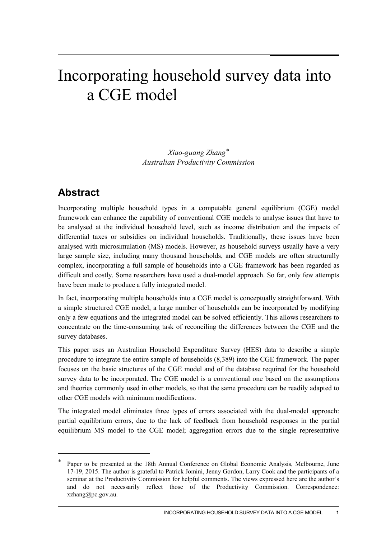# Incorporating household survey data into a CGE model

*Xiao-guang Zhang*[\\*](#page-0-0) *Australian Productivity Commission*

# **Abstract**

-

Incorporating multiple household types in a computable general equilibrium (CGE) model framework can enhance the capability of conventional CGE models to analyse issues that have to be analysed at the individual household level, such as income distribution and the impacts of differential taxes or subsidies on individual households. Traditionally, these issues have been analysed with microsimulation (MS) models. However, as household surveys usually have a very large sample size, including many thousand households, and CGE models are often structurally complex, incorporating a full sample of households into a CGE framework has been regarded as difficult and costly. Some researchers have used a dual-model approach. So far, only few attempts have been made to produce a fully integrated model.

In fact, incorporating multiple households into a CGE model is conceptually straightforward. With a simple structured CGE model, a large number of households can be incorporated by modifying only a few equations and the integrated model can be solved efficiently. This allows researchers to concentrate on the time-consuming task of reconciling the differences between the CGE and the survey databases.

This paper uses an Australian Household Expenditure Survey (HES) data to describe a simple procedure to integrate the entire sample of households (8,389) into the CGE framework. The paper focuses on the basic structures of the CGE model and of the database required for the household survey data to be incorporated. The CGE model is a conventional one based on the assumptions and theories commonly used in other models, so that the same procedure can be readily adapted to other CGE models with minimum modifications.

The integrated model eliminates three types of errors associated with the dual-model approach: partial equilibrium errors, due to the lack of feedback from household responses in the partial equilibrium MS model to the CGE model; aggregation errors due to the single representative

<span id="page-0-0"></span>Paper to be presented at the 18th Annual Conference on Global Economic Analysis, Melbourne, June 17-19, 2015. The author is grateful to Patrick Jomini, Jenny Gordon, Larry Cook and the participants of a seminar at the Productivity Commission for helpful comments. The views expressed here are the author's and do not necessarily reflect those of the Productivity Commission. Correspondence: xzhang@pc.gov.au.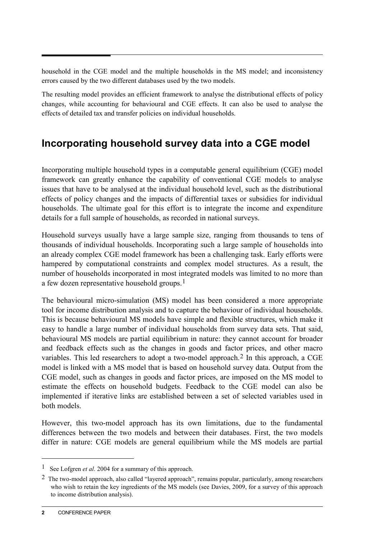household in the CGE model and the multiple households in the MS model; and inconsistency errors caused by the two different databases used by the two models.

The resulting model provides an efficient framework to analyse the distributional effects of policy changes, while accounting for behavioural and CGE effects. It can also be used to analyse the effects of detailed tax and transfer policies on individual households.

# **Incorporating household survey data into a CGE model**

Incorporating multiple household types in a computable general equilibrium (CGE) model framework can greatly enhance the capability of conventional CGE models to analyse issues that have to be analysed at the individual household level, such as the distributional effects of policy changes and the impacts of differential taxes or subsidies for individual households. The ultimate goal for this effort is to integrate the income and expenditure details for a full sample of households, as recorded in national surveys.

Household surveys usually have a large sample size, ranging from thousands to tens of thousands of individual households. Incorporating such a large sample of households into an already complex CGE model framework has been a challenging task. Early efforts were hampered by computational constraints and complex model structures. As a result, the number of households incorporated in most integrated models was limited to no more than a few dozen representative household groups.[1](#page-1-0)

The behavioural micro-simulation (MS) model has been considered a more appropriate tool for income distribution analysis and to capture the behaviour of individual households. This is because behavioural MS models have simple and flexible structures, which make it easy to handle a large number of individual households from survey data sets. That said, behavioural MS models are partial equilibrium in nature: they cannot account for broader and feedback effects such as the changes in goods and factor prices, and other macro variables. This led researchers to adopt a two-model approach.<sup>[2](#page-1-1)</sup> In this approach, a CGE model is linked with a MS model that is based on household survey data. Output from the CGE model, such as changes in goods and factor prices, are imposed on the MS model to estimate the effects on household budgets. Feedback to the CGE model can also be implemented if iterative links are established between a set of selected variables used in both models.

However, this two-model approach has its own limitations, due to the fundamental differences between the two models and between their databases. First, the two models differ in nature: CGE models are general equilibrium while the MS models are partial

<span id="page-1-0"></span><sup>1</sup> See Lofgren *et al*. 2004 for a summary of this approach.

<span id="page-1-1"></span><sup>2</sup> The two-model approach, also called "layered approach", remains popular, particularly, among researchers who wish to retain the key ingredients of the MS models (see Davies, 2009, for a survey of this approach to income distribution analysis).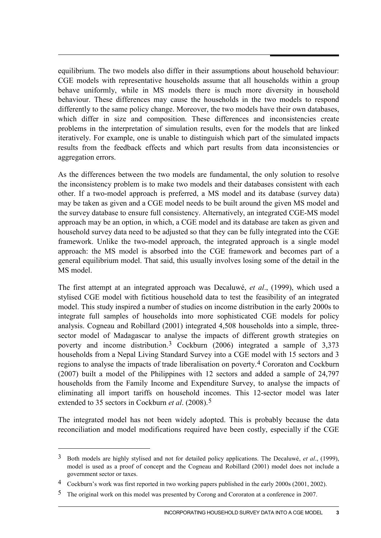equilibrium. The two models also differ in their assumptions about household behaviour: CGE models with representative households assume that all households within a group behave uniformly, while in MS models there is much more diversity in household behaviour. These differences may cause the households in the two models to respond differently to the same policy change. Moreover, the two models have their own databases, which differ in size and composition. These differences and inconsistencies create problems in the interpretation of simulation results, even for the models that are linked iteratively. For example, one is unable to distinguish which part of the simulated impacts results from the feedback effects and which part results from data inconsistencies or aggregation errors.

As the differences between the two models are fundamental, the only solution to resolve the inconsistency problem is to make two models and their databases consistent with each other. If a two-model approach is preferred, a MS model and its database (survey data) may be taken as given and a CGE model needs to be built around the given MS model and the survey database to ensure full consistency. Alternatively, an integrated CGE-MS model approach may be an option, in which, a CGE model and its database are taken as given and household survey data need to be adjusted so that they can be fully integrated into the CGE framework. Unlike the two-model approach, the integrated approach is a single model approach: the MS model is absorbed into the CGE framework and becomes part of a general equilibrium model. That said, this usually involves losing some of the detail in the MS model.

The first attempt at an integrated approach was Decaluwé, *et al*., (1999), which used a stylised CGE model with fictitious household data to test the feasibility of an integrated model. This study inspired a number of studies on income distribution in the early 2000s to integrate full samples of households into more sophisticated CGE models for policy analysis. Cogneau and Robillard (2001) integrated 4,508 households into a simple, threesector model of Madagascar to analyse the impacts of different growth strategies on poverty and income distribution.[3](#page-2-0) Cockburn (2006) integrated a sample of 3,373 households from a Nepal Living Standard Survey into a CGE model with 15 sectors and 3 regions to analyse the impacts of trade liberalisation on poverty.[4](#page-2-1) Cororaton and Cockburn (2007) built a model of the Philippines with 12 sectors and added a sample of 24,797 households from the Family Income and Expenditure Survey, to analyse the impacts of eliminating all import tariffs on household incomes. This 12-sector model was later extended to 35 sectors in Cockburn *et al*. (2008).[5](#page-2-2)

The integrated model has not been widely adopted. This is probably because the data reconciliation and model modifications required have been costly, especially if the CGE

-

<span id="page-2-0"></span><sup>3</sup> Both models are highly stylised and not for detailed policy applications. The Decaluwé, *et al*., (1999), model is used as a proof of concept and the Cogneau and Robillard (2001) model does not include a government sector or taxes.

<span id="page-2-1"></span><sup>4</sup> Cockburn's work was first reported in two working papers published in the early 2000s (2001, 2002).

<span id="page-2-2"></span><sup>5</sup> The original work on this model was presented by Corong and Cororaton at a conference in 2007.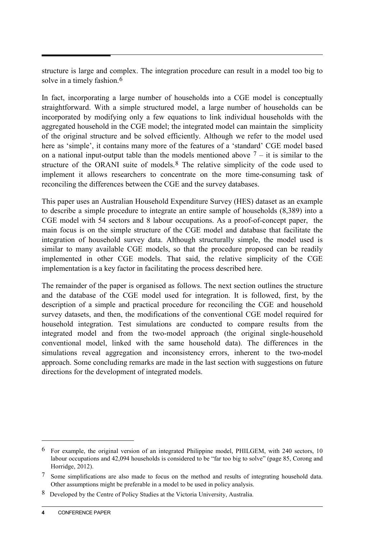structure is large and complex. The integration procedure can result in a model too big to solve in a timely fashion.<sup>[6](#page-3-0)</sup>

In fact, incorporating a large number of households into a CGE model is conceptually straightforward. With a simple structured model, a large number of households can be incorporated by modifying only a few equations to link individual households with the aggregated household in the CGE model; the integrated model can maintain the simplicity of the original structure and be solved efficiently. Although we refer to the model used here as 'simple', it contains many more of the features of a 'standard' CGE model based on a national input-output table than the models mentioned above  $7 - it$  $7 - it$  it is similar to the structure of the ORANI suite of models.<sup>[8](#page-3-2)</sup> The relative simplicity of the code used to implement it allows researchers to concentrate on the more time-consuming task of reconciling the differences between the CGE and the survey databases.

This paper uses an Australian Household Expenditure Survey (HES) dataset as an example to describe a simple procedure to integrate an entire sample of households (8,389) into a CGE model with 54 sectors and 8 labour occupations. As a proof-of-concept paper, the main focus is on the simple structure of the CGE model and database that facilitate the integration of household survey data. Although structurally simple, the model used is similar to many available CGE models, so that the procedure proposed can be readily implemented in other CGE models. That said, the relative simplicity of the CGE implementation is a key factor in facilitating the process described here.

The remainder of the paper is organised as follows. The next section outlines the structure and the database of the CGE model used for integration. It is followed, first, by the description of a simple and practical procedure for reconciling the CGE and household survey datasets, and then, the modifications of the conventional CGE model required for household integration. Test simulations are conducted to compare results from the integrated model and from the two-model approach (the original single-household conventional model, linked with the same household data). The differences in the simulations reveal aggregation and inconsistency errors, inherent to the two-model approach. Some concluding remarks are made in the last section with suggestions on future directions for the development of integrated models.

<span id="page-3-0"></span><sup>6</sup> For example, the original version of an integrated Philippine model, PHILGEM, with 240 sectors, 10 labour occupations and 42,094 households is considered to be "far too big to solve" (page 85, Corong and Horridge, 2012).

<span id="page-3-1"></span><sup>7</sup> Some simplifications are also made to focus on the method and results of integrating household data. Other assumptions might be preferable in a model to be used in policy analysis.

<span id="page-3-2"></span><sup>8</sup> Developed by the Centre of Policy Studies at the Victoria University, Australia.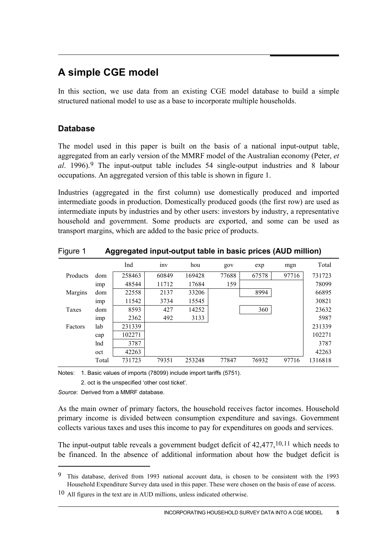# **A simple CGE model**

In this section, we use data from an existing CGE model database to build a simple structured national model to use as a base to incorporate multiple households.

### **Database**

The model used in this paper is built on the basis of a national input-output table, aggregated from an early version of the MMRF model of the Australian economy (Peter, *et al*. 1996).[9](#page-4-0) The input-output table includes 54 single-output industries and 8 labour occupations. An aggregated version of this table is shown in figure 1.

Industries (aggregated in the first column) use domestically produced and imported intermediate goods in production. Domestically produced goods (the first row) are used as intermediate inputs by industries and by other users: investors by industry, a representative household and government. Some products are exported, and some can be used as transport margins, which are added to the basic price of products.

|          |                 | Ind    | inv   | hou    | gov   | exp   | mgn   | Total   |
|----------|-----------------|--------|-------|--------|-------|-------|-------|---------|
| Products | dom             | 258463 | 60849 | 169428 | 77688 | 67578 | 97716 | 731723  |
|          | 1 <sub>mp</sub> | 48544  | 11712 | 17684  | 159   |       |       | 78099   |
| Margins  | dom             | 22558  | 2137  | 33206  |       | 8994  |       | 66895   |
|          | 1 <sub>mp</sub> | 11542  | 3734  | 15545  |       |       |       | 30821   |
| Taxes    | dom             | 8593   | 427   | 14252  |       | 360   |       | 23632   |
|          | 1 <sub>mp</sub> | 2362   | 492   | 3133   |       |       |       | 5987    |
| Factors  | lab             | 231339 |       |        |       |       |       | 231339  |
|          | cap             | 102271 |       |        |       |       |       | 102271  |
|          | lnd             | 3787   |       |        |       |       |       | 3787    |
|          | oct             | 42263  |       |        |       |       |       | 42263   |
|          | Total           | 731723 | 79351 | 253248 | 77847 | 76932 | 97716 | 1316818 |

### Figure 1 **Aggregated input-output table in basic prices (AUD million)**

Notes: 1. Basic values of imports (78099) include import tariffs (5751).

2. oct is the unspecified 'other cost ticket'.

*Source*: Derived from a MMRF database.

<u>.</u>

<span id="page-4-2"></span>As the main owner of primary factors, the household receives factor incomes. Household primary income is divided between consumption expenditure and savings. Government collects various taxes and uses this income to pay for expenditures on goods and services.

The input-output table reveals a government budget deficit of 42,477,<sup>[10,](#page-4-1)[11](#page-4-2)</sup> which needs to be financed. In the absence of additional information about how the budget deficit is

<span id="page-4-0"></span><sup>9</sup> This database, derived from 1993 national account data, is chosen to be consistent with the 1993 Household Expenditure Survey data used in this paper. These were chosen on the basis of ease of access.

<span id="page-4-1"></span> $10$  All figures in the text are in AUD millions, unless indicated otherwise.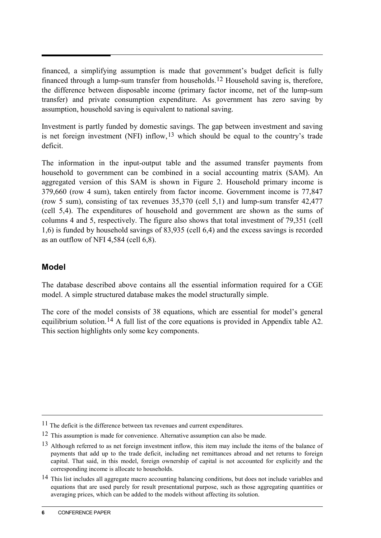financed, a simplifying assumption is made that government's budget deficit is fully financed through a lump-sum transfer from households.[12](#page-5-0) Household saving is, therefore, the difference between disposable income (primary factor income, net of the lump-sum transfer) and private consumption expenditure. As government has zero saving by assumption, household saving is equivalent to national saving.

Investment is partly funded by domestic savings. The gap between investment and saving is net foreign investment (NFI) inflow,[13](#page-5-1) which should be equal to the country's trade deficit.

The information in the input-output table and the assumed transfer payments from household to government can be combined in a social accounting matrix (SAM). An aggregated version of this SAM is shown in Figure 2. Household primary income is 379,660 (row 4 sum), taken entirely from factor income. Government income is 77,847 (row 5 sum), consisting of tax revenues 35,370 (cell 5,1) and lump-sum transfer 42,477 (cell 5,4). The expenditures of household and government are shown as the sums of columns 4 and 5, respectively. The figure also shows that total investment of 79,351 (cell 1,6) is funded by household savings of 83,935 (cell 6,4) and the excess savings is recorded as an outflow of NFI 4,584 (cell 6,8).

### **Model**

 $\overline{a}$ 

The database described above contains all the essential information required for a CGE model. A simple structured database makes the model structurally simple.

The core of the model consists of 38 equations, which are essential for model's general equilibrium solution.<sup>[14](#page-5-2)</sup> A full list of the core equations is provided in Appendix table A2. This section highlights only some key components.

<sup>&</sup>lt;sup>11</sup> The deficit is the difference between tax revenues and current expenditures.

<span id="page-5-0"></span><sup>12</sup> This assumption is made for convenience. Alternative assumption can also be made.

<span id="page-5-1"></span><sup>13</sup> Although referred to as net foreign investment inflow, this item may include the items of the balance of payments that add up to the trade deficit, including net remittances abroad and net returns to foreign capital. That said, in this model, foreign ownership of capital is not accounted for explicitly and the corresponding income is allocate to households.

<span id="page-5-2"></span><sup>14</sup> This list includes all aggregate macro accounting balancing conditions, but does not include variables and equations that are used purely for result presentational purpose, such as those aggregating quantities or averaging prices, which can be added to the models without affecting its solution.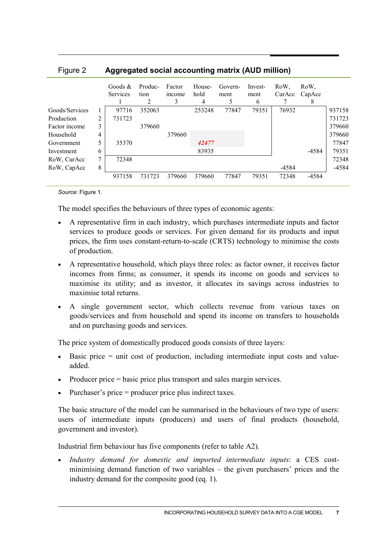| $1$ iguit $\epsilon$ | Aggregated social accounting matrix (AOD minion) |                               |                 |                       |                     |                 |                      |                |                     |        |
|----------------------|--------------------------------------------------|-------------------------------|-----------------|-----------------------|---------------------|-----------------|----------------------|----------------|---------------------|--------|
|                      |                                                  | Goods $\&$<br><b>Services</b> | Produc-<br>tion | Factor<br>income<br>3 | House-<br>hold<br>4 | Govern-<br>ment | Invest-<br>ment<br>6 | RoW.<br>CurAcc | RoW.<br>CapAcc<br>8 |        |
| Goods/Services       | I.                                               | 97716                         | 352063          |                       | 253248              | 77847           | 79351                | 76932          |                     | 937158 |
| Production           | 2                                                | 731723                        |                 |                       |                     |                 |                      |                |                     | 731723 |
| Factor income        | 3                                                |                               | 379660          |                       |                     |                 |                      |                |                     | 379660 |
| Household            | 4                                                |                               |                 | 379660                |                     |                 |                      |                |                     | 379660 |
| Government           |                                                  | 35370                         |                 |                       | 42477               |                 |                      |                |                     | 77847  |
| Investment           | 6                                                |                               |                 |                       | 83935               |                 |                      |                | -4584               | 79351  |
| RoW, CurAcc          | 7                                                | 72348                         |                 |                       |                     |                 |                      |                |                     | 72348  |
| RoW, CapAcc          | 8                                                |                               |                 |                       |                     |                 |                      | -4584          |                     | -4584  |
|                      |                                                  | 937158                        | 731723          | 379660                | 379660              | 77847           | 79351                | 72348          | -4584               |        |

Figure 2 **Aggregated social accounting matrix (AUD million)**

*Source*: Figure 1.

The model specifies the behaviours of three types of economic agents:

- A representative firm in each industry, which purchases intermediate inputs and factor services to produce goods or services. For given demand for its products and input prices, the firm uses constant-return-to-scale (CRTS) technology to minimise the costs of production.
- A representative household, which plays three roles: as factor owner, it receives factor incomes from firms; as consumer, it spends its income on goods and services to maximise its utility; and as investor, it allocates its savings across industries to maximise total returns.
- A single government sector, which collects revenue from various taxes on goods/services and from household and spend its income on transfers to households and on purchasing goods and services.

The price system of domestically produced goods consists of three layers:

- Basic price = unit cost of production, including intermediate input costs and valueadded.
- Producer price = basic price plus transport and sales margin services.
- Purchaser's price = producer price plus indirect taxes.

The basic structure of the model can be summarised in the behaviours of two type of users: users of intermediate inputs (producers) and users of final products (household, government and investor).

Industrial firm behaviour has five components (refer to table A2).

• *Industry demand for domestic and imported intermediate inputs*: a CES costminimising demand function of two variables – the given purchasers' prices and the industry demand for the composite good (eq. 1).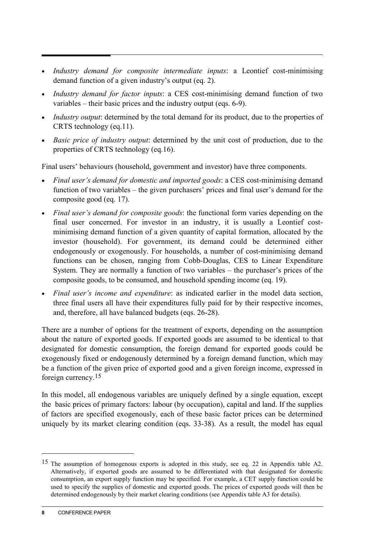- *Industry demand for composite intermediate inputs*: a Leontief cost-minimising demand function of a given industry's output (eq. 2).
- *Industry demand for factor inputs*: a CES cost-minimising demand function of two variables – their basic prices and the industry output (eqs. 6-9).
- *Industry output*: determined by the total demand for its product, due to the properties of CRTS technology (eq.11).
- *Basic price of industry output*: determined by the unit cost of production, due to the properties of CRTS technology (eq.16).

Final users' behaviours (household, government and investor) have three components.

- *Final user's demand for domestic and imported goods*: a CES cost-minimising demand function of two variables – the given purchasers' prices and final user's demand for the composite good (eq. 17).
- *Final user's demand for composite goods*: the functional form varies depending on the final user concerned. For investor in an industry, it is usually a Leontief costminimising demand function of a given quantity of capital formation, allocated by the investor (household). For government, its demand could be determined either endogenously or exogenously. For households, a number of cost-minimising demand functions can be chosen, ranging from Cobb-Douglas, CES to Linear Expenditure System. They are normally a function of two variables – the purchaser's prices of the composite goods, to be consumed, and household spending income (eq. 19).
- *Final user's income and expenditure*: as indicated earlier in the model data section, three final users all have their expenditures fully paid for by their respective incomes, and, therefore, all have balanced budgets (eqs. 26-28).

There are a number of options for the treatment of exports, depending on the assumption about the nature of exported goods. If exported goods are assumed to be identical to that designated for domestic consumption, the foreign demand for exported goods could be exogenously fixed or endogenously determined by a foreign demand function, which may be a function of the given price of exported good and a given foreign income, expressed in foreign currency.[15](#page-7-0)

In this model, all endogenous variables are uniquely defined by a single equation, except the basic prices of primary factors: labour (by occupation), capital and land. If the supplies of factors are specified exogenously, each of these basic factor prices can be determined uniquely by its market clearing condition (eqs. 33-38). As a result, the model has equal

<span id="page-7-0"></span><sup>&</sup>lt;sup>15</sup> The assumption of homogenous exports is adopted in this study, see eq. 22 in Appendix table A2. Alternatively, if exported goods are assumed to be differentiated with that designated for domestic consumption, an export supply function may be specified. For example, a CET supply function could be used to specify the supplies of domestic and exported goods. The prices of exported goods will then be determined endogenously by their market clearing conditions (see Appendix table A3 for details).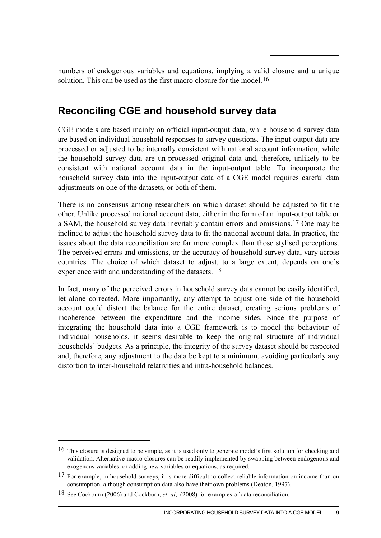numbers of endogenous variables and equations, implying a valid closure and a unique solution. This can be used as the first macro closure for the model.  $16$ 

# **Reconciling CGE and household survey data**

CGE models are based mainly on official input-output data, while household survey data are based on individual household responses to survey questions. The input-output data are processed or adjusted to be internally consistent with national account information, while the household survey data are un-processed original data and, therefore, unlikely to be consistent with national account data in the input-output table. To incorporate the household survey data into the input-output data of a CGE model requires careful data adjustments on one of the datasets, or both of them.

There is no consensus among researchers on which dataset should be adjusted to fit the other. Unlike processed national account data, either in the form of an input-output table or a SAM, the household survey data inevitably contain errors and omissions.[17](#page-8-1) One may be inclined to adjust the household survey data to fit the national account data. In practice, the issues about the data reconciliation are far more complex than those stylised perceptions. The perceived errors and omissions, or the accuracy of household survey data, vary across countries. The choice of which dataset to adjust, to a large extent, depends on one's experience with and understanding of the datasets. [18](#page-8-2)

In fact, many of the perceived errors in household survey data cannot be easily identified, let alone corrected. More importantly, any attempt to adjust one side of the household account could distort the balance for the entire dataset, creating serious problems of incoherence between the expenditure and the income sides. Since the purpose of integrating the household data into a CGE framework is to model the behaviour of individual households, it seems desirable to keep the original structure of individual households' budgets. As a principle, the integrity of the survey dataset should be respected and, therefore, any adjustment to the data be kept to a minimum, avoiding particularly any distortion to inter-household relativities and intra-household balances.

-

<span id="page-8-0"></span><sup>16</sup> This closure is designed to be simple, as it is used only to generate model's first solution for checking and validation. Alternative macro closures can be readily implemented by swapping between endogenous and exogenous variables, or adding new variables or equations, as required.

<span id="page-8-1"></span><sup>&</sup>lt;sup>17</sup> For example, in household surveys, it is more difficult to collect reliable information on income than on consumption, although consumption data also have their own problems (Deaton, 1997).

<span id="page-8-2"></span><sup>18</sup> See Cockburn (2006) and Cockburn, *et*. *al*, (2008) for examples of data reconciliation.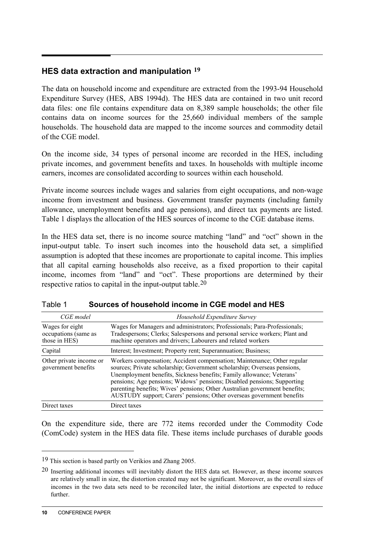### **HES data extraction and manipulation [19](#page-9-0)**

The data on household income and expenditure are extracted from the 1993-94 Household Expenditure Survey (HES, ABS 1994d). The HES data are contained in two unit record data files: one file contains expenditure data on 8,389 sample households; the other file contains data on income sources for the 25,660 individual members of the sample households. The household data are mapped to the income sources and commodity detail of the CGE model.

On the income side, 34 types of personal income are recorded in the HES, including private incomes, and government benefits and taxes. In households with multiple income earners, incomes are consolidated according to sources within each household.

Private income sources include wages and salaries from eight occupations, and non-wage income from investment and business. Government transfer payments (including family allowance, unemployment benefits and age pensions), and direct tax payments are listed. Table 1 displays the allocation of the HES sources of income to the CGE database items.

In the HES data set, there is no income source matching "land" and "oct" shown in the input-output table. To insert such incomes into the household data set, a simplified assumption is adopted that these incomes are proportionate to capital income. This implies that all capital earning households also receive, as a fixed proportion to their capital income, incomes from "land" and "oct". These proportions are determined by their respective ratios to capital in the input-output table.<sup>[20](#page-9-1)</sup>

| CGE model                                                | Household Expenditure Survey                                                                                                                                                                                                                                                                                                                                                                                                                                   |
|----------------------------------------------------------|----------------------------------------------------------------------------------------------------------------------------------------------------------------------------------------------------------------------------------------------------------------------------------------------------------------------------------------------------------------------------------------------------------------------------------------------------------------|
| Wages for eight<br>occupations (same as<br>those in HES) | Wages for Managers and administrators; Professionals; Para-Professionals;<br>Tradespersons; Clerks; Salespersons and personal service workers; Plant and<br>machine operators and drivers; Labourers and related workers                                                                                                                                                                                                                                       |
| Capital                                                  | Interest; Investment; Property rent; Superannuation; Business;                                                                                                                                                                                                                                                                                                                                                                                                 |
| Other private income or<br>government benefits           | Workers compensation; Accident compensation; Maintenance; Other regular<br>sources; Private scholarship; Government scholarship; Overseas pensions,<br>Unemployment benefits, Sickness benefits; Family allowance; Veterans'<br>pensions; Age pensions; Widows' pensions; Disabled pensions; Supporting<br>parenting benefits; Wives' pensions; Other Australian government benefits;<br>AUSTUDY support; Carers' pensions; Other overseas government benefits |
| Direct taxes                                             | Direct taxes                                                                                                                                                                                                                                                                                                                                                                                                                                                   |

| Table 1 | Sources of household income in CGE model and HES |
|---------|--------------------------------------------------|
|---------|--------------------------------------------------|

On the expenditure side, there are 772 items recorded under the Commodity Code (ComCode) system in the HES data file. These items include purchases of durable goods

<span id="page-9-0"></span><sup>19</sup> This section is based partly on Verikios and Zhang 2005.

<span id="page-9-1"></span><sup>20</sup> Inserting additional incomes will inevitably distort the HES data set. However, as these income sources are relatively small in size, the distortion created may not be significant. Moreover, as the overall sizes of incomes in the two data sets need to be reconciled later, the initial distortions are expected to reduce further.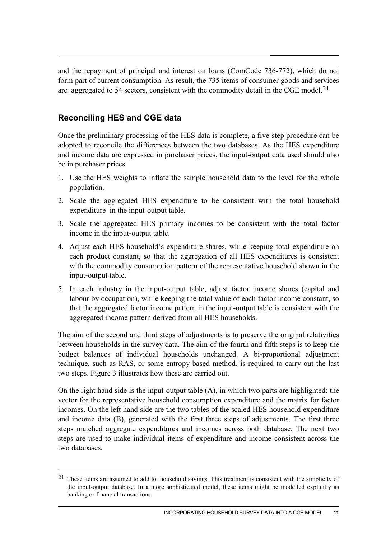and the repayment of principal and interest on loans (ComCode 736-772), which do not form part of current consumption. As result, the 735 items of consumer goods and services are aggregated to 54 sectors, consistent with the commodity detail in the CGE model.[21](#page-10-0)

### **Reconciling HES and CGE data**

-

Once the preliminary processing of the HES data is complete, a five-step procedure can be adopted to reconcile the differences between the two databases. As the HES expenditure and income data are expressed in purchaser prices, the input-output data used should also be in purchaser prices.

- 1. Use the HES weights to inflate the sample household data to the level for the whole population.
- 2. Scale the aggregated HES expenditure to be consistent with the total household expenditure in the input-output table.
- 3. Scale the aggregated HES primary incomes to be consistent with the total factor income in the input-output table.
- 4. Adjust each HES household's expenditure shares, while keeping total expenditure on each product constant, so that the aggregation of all HES expenditures is consistent with the commodity consumption pattern of the representative household shown in the input-output table.
- 5. In each industry in the input-output table, adjust factor income shares (capital and labour by occupation), while keeping the total value of each factor income constant, so that the aggregated factor income pattern in the input-output table is consistent with the aggregated income pattern derived from all HES households.

The aim of the second and third steps of adjustments is to preserve the original relativities between households in the survey data. The aim of the fourth and fifth steps is to keep the budget balances of individual households unchanged. A bi-proportional adjustment technique, such as RAS, or some entropy-based method, is required to carry out the last two steps. Figure 3 illustrates how these are carried out.

On the right hand side is the input-output table (A), in which two parts are highlighted: the vector for the representative household consumption expenditure and the matrix for factor incomes. On the left hand side are the two tables of the scaled HES household expenditure and income data (B), generated with the first three steps of adjustments. The first three steps matched aggregate expenditures and incomes across both database. The next two steps are used to make individual items of expenditure and income consistent across the two databases.

<span id="page-10-0"></span><sup>21</sup> These items are assumed to add to household savings. This treatment is consistent with the simplicity of the input-output database. In a more sophisticated model, these items might be modelled explicitly as banking or financial transactions.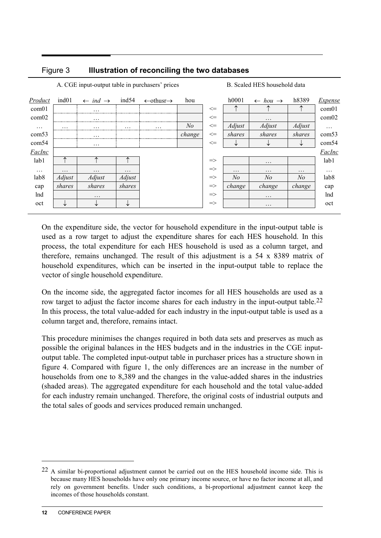### Figure 3 **Illustration of reconciling the two databases**

| ind01<br>Product           | ind54<br>$\leftarrow$ ind $\rightarrow$        | $\leftarrow$ othusr $\rightarrow$ | hou            |               | h0001    |                                       |                |                  |
|----------------------------|------------------------------------------------|-----------------------------------|----------------|---------------|----------|---------------------------------------|----------------|------------------|
|                            |                                                |                                   |                |               |          | $\leftarrow \textit{hou} \rightarrow$ | h8389          | <i>Expense</i>   |
| com01                      | $\cdots$                                       |                                   |                | $\leq$        |          |                                       |                | com01            |
| com02                      | $\cdots$                                       |                                   |                | $\leq$        |          | $\cdots$                              |                | com02            |
| $\cdots$<br>$\cdots$<br>   | $\cdots$<br>$\cdots$<br>---------------------- | $\cdots$<br>                      | N <sub>o</sub> | $\Leftarrow$  | Adjust   | Adjust                                | Adjust         | $\cdots$         |
| com53                      | $\cdots$                                       |                                   | change         | $\leq$        | shares   | shares                                | shares         | com53            |
| com54                      | $\cdots$                                       |                                   |                | $\leq$        |          |                                       | ◡              | com54            |
| FacInc                     |                                                |                                   |                |               |          |                                       |                | FacInc           |
| lab1                       |                                                |                                   |                | $\Rightarrow$ |          | $\cdots$                              |                | lab1             |
| $\cdots$<br>$\cdots$       | $\cdots$<br>$\cdots$                           |                                   |                | $\Rightarrow$ | $\cdots$ | $\cdots$                              | $\cdots$       | $\ddotsc$        |
| lab <sub>8</sub><br>Adjust | Adjust<br>Adjust                               |                                   |                | $\Rightarrow$ | No       | N <sub>o</sub>                        | N <sub>o</sub> | lab <sub>8</sub> |
| shares<br>cap              | shares<br>shares                               |                                   |                | $\Rightarrow$ | change   | change                                | change         | cap              |
| lnd                        | $\cdots$                                       |                                   |                | $\Rightarrow$ |          | $\cdots$                              |                | lnd              |
| oct<br>◡                   | ╰<br>◡                                         |                                   |                | $\Rightarrow$ |          | $\cdots$                              |                | oct              |

A. CGE input-output table in purchasers' prices B. Scaled HES household data

On the expenditure side, the vector for household expenditure in the input-output table is used as a row target to adjust the expenditure shares for each HES household. In this process, the total expenditure for each HES household is used as a column target, and therefore, remains unchanged. The result of this adjustment is a 54 x 8389 matrix of household expenditures, which can be inserted in the input-output table to replace the vector of single household expenditure.

On the income side, the aggregated factor incomes for all HES households are used as a row target to adjust the factor income shares for each industry in the input-output table.[22](#page-11-0) In this process, the total value-added for each industry in the input-output table is used as a column target and, therefore, remains intact.

This procedure minimises the changes required in both data sets and preserves as much as possible the original balances in the HES budgets and in the industries in the CGE inputoutput table. The completed input-output table in purchaser prices has a structure shown in figure 4. Compared with figure 1, the only differences are an increase in the number of households from one to 8,389 and the changes in the value-added shares in the industries (shaded areas). The aggregated expenditure for each household and the total value-added for each industry remain unchanged. Therefore, the original costs of industrial outputs and the total sales of goods and services produced remain unchanged.

<span id="page-11-0"></span><sup>22</sup> A similar bi-proportional adjustment cannot be carried out on the HES household income side. This is because many HES households have only one primary income source, or have no factor income at all, and rely on government benefits. Under such conditions, a bi-proportional adjustment cannot keep the incomes of those households constant.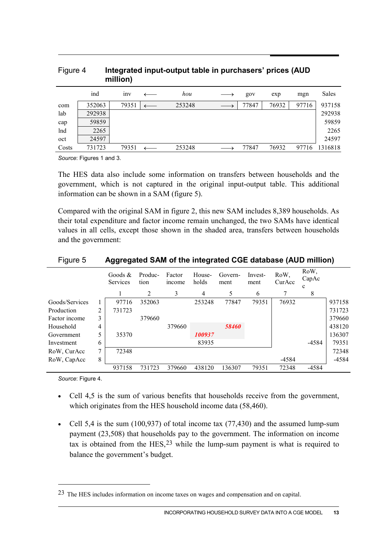| $1.1$ yul $\sim$ T |        | million)        | micgrated input-output table in purchasers prices (AOD |       |       |       |         |
|--------------------|--------|-----------------|--------------------------------------------------------|-------|-------|-------|---------|
|                    | ind    | 1n <sub>V</sub> | hou                                                    | gov   | exp   | mgn   | Sales   |
| com                | 352063 | 79351           | 253248                                                 | 77847 | 76932 | 97716 | 937158  |
| lab                | 292938 |                 |                                                        |       |       |       | 292938  |
| cap                | 59859  |                 |                                                        |       |       |       | 59859   |
| lnd                | 2265   |                 |                                                        |       |       |       | 2265    |
| oct                | 24597  |                 |                                                        |       |       |       | 24597   |
| Costs              | 731723 | 79351           | 253248                                                 | 77847 | 76932 | 97716 | 1316818 |

# Figure 4 **Integrated input-output table in purchasers' prices (AUD**

*Source*: Figures 1 and 3.

The HES data also include some information on transfers between households and the government, which is not captured in the original input-output table. This additional information can be shown in a SAM (figure 5).

Compared with the original SAM in figure 2, this new SAM includes 8,389 households. As their total expenditure and factor income remain unchanged, the two SAMs have identical values in all cells, except those shown in the shaded area, transfers between households and the government:

| . <del>.</del> |   | ີວິວ - ວິ              |                 |                        | --              |                 |                 |                |                    |        |
|----------------|---|------------------------|-----------------|------------------------|-----------------|-----------------|-----------------|----------------|--------------------|--------|
|                |   | Goods $\&$<br>Services | Produc-<br>tion | Factor<br><i>ncome</i> | House-<br>holds | Govern-<br>ment | Invest-<br>ment | RoW,<br>CurAcc | RoW,<br>CapAc<br>c |        |
|                |   |                        | 2               | 3                      | 4               | 5               | 6               |                | 8                  |        |
| Goods/Services |   | 97716                  | 352063          |                        | 253248          | 77847           | 79351           | 76932          |                    | 937158 |
| Production     | 2 | 731723                 |                 |                        |                 |                 |                 |                |                    | 731723 |
| Factor income  | 3 |                        | 379660          |                        |                 |                 |                 |                |                    | 379660 |
| Household      | 4 |                        |                 | 379660                 |                 | 58460           |                 |                |                    | 438120 |
| Government     | 5 | 35370                  |                 |                        | 100937          |                 |                 |                |                    | 136307 |
| Investment     | 6 |                        |                 |                        | 83935           |                 |                 |                | -4584              | 79351  |
| RoW, CurAcc    | 7 | 72348                  |                 |                        |                 |                 |                 |                |                    | 72348  |
| RoW, CapAcc    | 8 |                        |                 |                        |                 |                 |                 | -4584          |                    | -4584  |
|                |   | 937158                 | 731723          | 379660                 | 438120          | 136307          | 79351           | 72348          | $-4584$            |        |

### Figure 5 **Aggregated SAM of the integrated CGE database (AUD million)**

*Source*: Figure 4.

-

- Cell 4,5 is the sum of various benefits that households receive from the government, which originates from the HES household income data (58,460).
- Cell 5,4 is the sum (100,937) of total income tax (77,430) and the assumed lump-sum payment (23,508) that households pay to the government. The information on income tax is obtained from the  $HES<sub>1</sub><sup>23</sup>$  $HES<sub>1</sub><sup>23</sup>$  $HES<sub>1</sub><sup>23</sup>$  while the lump-sum payment is what is required to balance the government's budget.

<span id="page-12-0"></span><sup>23</sup> The HES includes information on income taxes on wages and compensation and on capital.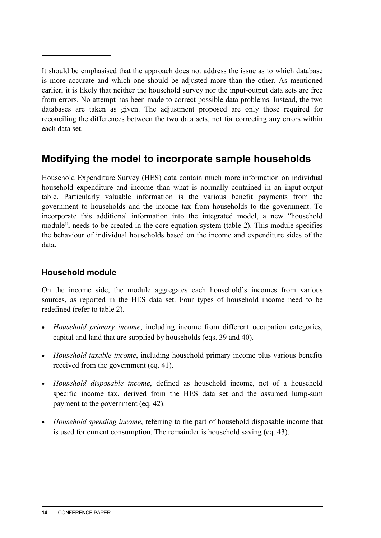It should be emphasised that the approach does not address the issue as to which database is more accurate and which one should be adjusted more than the other. As mentioned earlier, it is likely that neither the household survey nor the input-output data sets are free from errors. No attempt has been made to correct possible data problems. Instead, the two databases are taken as given. The adjustment proposed are only those required for reconciling the differences between the two data sets, not for correcting any errors within each data set.

## **Modifying the model to incorporate sample households**

Household Expenditure Survey (HES) data contain much more information on individual household expenditure and income than what is normally contained in an input-output table. Particularly valuable information is the various benefit payments from the government to households and the income tax from households to the government. To incorporate this additional information into the integrated model, a new "household module", needs to be created in the core equation system (table 2). This module specifies the behaviour of individual households based on the income and expenditure sides of the data.

### **Household module**

On the income side, the module aggregates each household's incomes from various sources, as reported in the HES data set. Four types of household income need to be redefined (refer to table 2).

- *Household primary income*, including income from different occupation categories, capital and land that are supplied by households (eqs. 39 and 40).
- *Household taxable income*, including household primary income plus various benefits received from the government (eq. 41).
- *Household disposable income*, defined as household income, net of a household specific income tax, derived from the HES data set and the assumed lump-sum payment to the government (eq. 42).
- *Household spending income*, referring to the part of household disposable income that is used for current consumption. The remainder is household saving (eq. 43).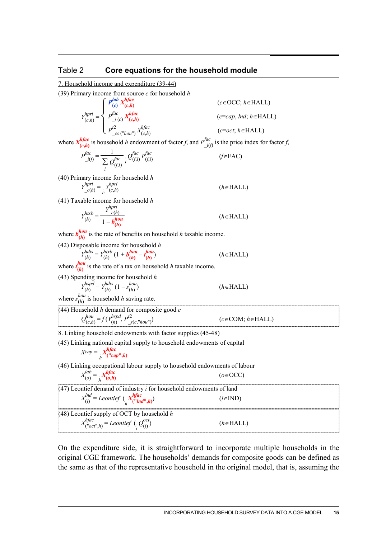#### Table 2 **Core equations for the household module**

7. Household income and expenditure (39-44)

(39) Primary income from source *c* for household *h*

$$
Y_{(c,h)}^{hpri} = \begin{cases} P_{(c)}^{lab} X_{(c,h)}^{hfac} \\ P_{(c,h)}^{fac} X_{(c,h)}^{hfac} \\ P_{c}^{2} \\ P_{c}^{max} \left( \begin{array}{c} h & \text{if } \\ h & \text{if } \\ h & \text{if } \\ h & \text{if } \\ h & \text{if } \\ h & \text{if } \\ h & \text{if } \\ h & \text{if } \\ h & \text{if } \\ h & \text{if } \\ h & \text{if } \\ h & \text{if } \\ h & \text{if } \\ h & \text{if } \\ h & \text{if } \\ h & \text{if } \\ h & \text{if } \\ h & \text{if } \\ h & \text{if } \\ h & \text{if } \\ h & \text{if } \\ h & \text{if } \\ h & \text{if } \\ h & \text{if } \\ h & \text{if } \\ h & \text{if } \\ h & \text{if } \\ h & \text{if } \\ h & \text{if } \\ h & \text{if } \\ h & \text{if } \\ h & \text{if } \\ h & \text{if } \\ h & \text{if } \\ h & \text{if } \\ h & \text{if } \\ h & \text{if } \\ h & \text{if } \\ h & \text{if } \\ h & \text{if } \\ h & \text{if } \\ h & \text{if } \\ h & \text{if } \\ h & \text{if } \\ h & \text{if } \\ h & \text{if } \\ h & \text{if } \\ h & \text{if } \\ h & \text{if } \\ h & \text{if } \\ h & \text{if } \\ h & \text{if } \\ h & \text{if } \\ h & \text{if } \\ h & \text{if } \\ h & \text{if } \\ h & \text{if } \\ h & \text{if } \\ h & \text{if } \\ h & \text{if } \\ h & \text{if } \\ h & \text{if } \\ h & \text{if } \\ h & \text{if } \\ h & \text{if } \\ h & \text{if } \\ h & \text{if } \\ h & \text{if } \\ h & \text{if } \\ h & \text{if } \\ h & \text{if } \\ h & \text{if } \\ h & \text{if } \\ h & \text{if } \\ h & \text{if } \\ h & \text{if } \\ h & \text{if } \\ h & \text{if } \\ h & \text{if } \\ h & \text{if } \\ h & \text{if } \\ h & \text{if } \\ h & \text{if } \\ h & \text{if } \\ h & \text{if }
$$

(*c*=*cap*, *lnd*; *h*∈HALL)

(*c*∈OCC; *h*∈HALL)

(*c*=*oct*; *h*∈HALL)

where  $X_{(c,h)}^{hfac}$  is household *h* endowment of factor *f*, and  $P_{i(t)}^{fac}$  is the price index for factor *f*,

$$
P_{i(j)}^{fac} = \frac{1}{\sum_{i} Q_{(f,i)}^{fac}} \sum_{i} Q_{(f,i)}^{fac} P_{(f,i)}^{fac}
$$
 (f \in FAC)

(40) Primary income for household *h*

$$
Y_{c(h)}^{hpri} = Y_{c(h)}^{hpri}
$$
 (*h* = HALL)

(41) Taxable income for household *h*

$$
Y_{(h)}^{htxb} = \frac{Y_{(h)}^{hpri}}{1 - b_{(h)}^{hou}}
$$
 (*h*  $\in$  HALL)

where  $b_{(h)}^{hou}$  is the rate of benefits on household *h* taxable income.

(42) Disposable income for household *h*  
\n
$$
Y_{(h)}^{hdis} = Y_{(h)}^{htxb} (1 + b_{(h)}^{hou} - t_{(h)}^{hou})
$$
\n(*h*  $\in$  HALL)

where  $t_{(h)}^{hou}$  is the rate of a tax on household *h* taxable income.

(43) Spending income for household *h*

$$
Y_{(h)}^{hspd} = Y_{(h)}^{hslbd} (1 - s_{(h)}^{hou})
$$
 (*h*  $\in$  HALL)

where  $s_{(h)}^{hou}$  is household *h* saving rate.

(44) Household *h* demand for composite good *c*  
\n
$$
Q_{(c,h)}^{hou} = f(Y_{(h)}^{hspd}, P_{S(c, 'hou'')}^{2})
$$
\n( *c* ∈ COM; *h* ∈ HALL)

8. Linking household endowments with factor supplies (45-48)

(45) Linking national capital supply to household endowments of capital

$$
Xcap = \underset{h}{\cdot} X^{hfac}_{("cap",h)}
$$

(46) Linking occupational labour supply to household endowments of labour

$$
X_{(o)}^{lab} = X_{(o,h)}^{hfac}
$$
 (o \in OCC)

(47) Leontief demand of industry *i* for household endowments of land  $X_{(i)}^{Ind} = Leontief \left(\frac{X_i^{hfac}}{h'}(t^n \cdot \mathbf{I} n)^n\right)$  (*i*∈IND) (48) Leontief supply of OCT by household *h*  $X^{hfac}_{("oct", h)} = Leontief \left(\bigcirc_i^{\text{oct}}Q^{(i)}_{(i)}\right)$ (*i*) ) (*h*∈HALL)

On the expenditure side, it is straightforward to incorporate multiple households in the original CGE framework. The households' demands for composite goods can be defined as the same as that of the representative household in the original model, that is, assuming the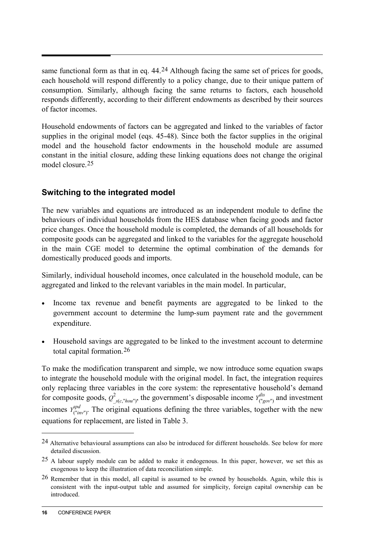same functional form as that in eq. 44.<sup>[24](#page-15-0)</sup> Although facing the same set of prices for goods, each household will respond differently to a policy change, due to their unique pattern of consumption. Similarly, although facing the same returns to factors, each household responds differently, according to their different endowments as described by their sources of factor incomes.

Household endowments of factors can be aggregated and linked to the variables of factor supplies in the original model (eqs. 45-48). Since both the factor supplies in the original model and the household factor endowments in the household module are assumed constant in the initial closure, adding these linking equations does not change the original model closure.[25](#page-15-1)

### **Switching to the integrated model**

The new variables and equations are introduced as an independent module to define the behaviours of individual households from the HES database when facing goods and factor price changes. Once the household module is completed, the demands of all households for composite goods can be aggregated and linked to the variables for the aggregate household in the main CGE model to determine the optimal combination of the demands for domestically produced goods and imports.

Similarly, individual household incomes, once calculated in the household module, can be aggregated and linked to the relevant variables in the main model. In particular,

- Income tax revenue and benefit payments are aggregated to be linked to the government account to determine the lump-sum payment rate and the government expenditure.
- Household savings are aggregated to be linked to the investment account to determine total capital formation.[26](#page-15-2)

To make the modification transparent and simple, we now introduce some equation swaps to integrate the household module with the original model. In fact, the integration requires only replacing three variables in the core system: the representative household's demand for composite goods,  $Q^2_{s(c,"hou')}$ , the government's disposable income  $Y^{dis}_{("gov")}$  and investment incomes  $Y_{(\text{``inv}'')}^{spd}$ . The original equations defining the three variables, together with the new equations for replacement, are listed in Table 3.

<span id="page-15-0"></span><sup>24</sup> Alternative behavioural assumptions can also be introduced for different households. See below for more detailed discussion.

<span id="page-15-1"></span><sup>25</sup> A labour supply module can be added to make it endogenous. In this paper, however, we set this as exogenous to keep the illustration of data reconciliation simple.

<span id="page-15-2"></span><sup>26</sup> Remember that in this model, all capital is assumed to be owned by households. Again, while this is consistent with the input-output table and assumed for simplicity, foreign capital ownership can be introduced.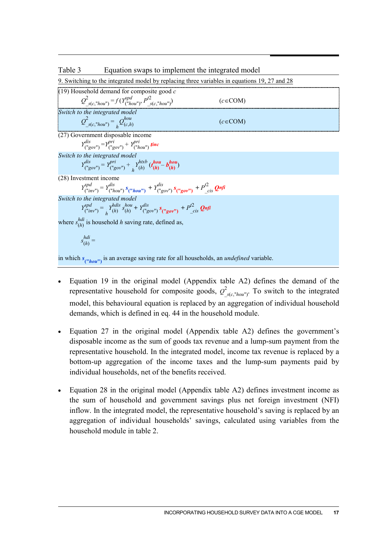#### Table 3 Equation swaps to implement the integrated model

9. Switching to the integrated model by replacing three variables in equations 19, 27 and 28

| (19) Household demand for composite good $c$                                                                                                             |               |
|----------------------------------------------------------------------------------------------------------------------------------------------------------|---------------|
| $Q^2_{s(c''hou'')}$ = $f(Y^{spd}_{("hou'')}, P^{t2}_{s(c''hou'')}$                                                                                       | $(c \in COM)$ |
| Switch to the integrated model                                                                                                                           |               |
| $Q_{s(c,"hou')}^2 = Q_{(c,h)}^{hou}$                                                                                                                     | $(c \in COM)$ |
| (27) Government disposable income                                                                                                                        |               |
| $Y_{\binom{n}{2} \circ \alpha v^{n}}^{dis} = Y_{\binom{n}{2} \circ \alpha v^{n}}^{pri} + Y_{\binom{n}{2} \circ \alpha v^{n}}^{pri}$ tinc                 |               |
| Switch to the integrated model                                                                                                                           |               |
| $Y_{\binom{v}{g}ov}}^{dis} = Y_{\binom{v}{g}ov}}^{pri} + Y_{(h)}^{htxb} (t_{(h)}^{hou} - b_{(h)}^{hou})$                                                 |               |
| (28) Investment income                                                                                                                                   |               |
| $Y_{("inv")}^{spd} = Y_{("hou")}^{dis} s_{("hou")} + Y_{("gov")}^{dis} s_{("gov")} + P_{cis}^{t2} Q_{inf}$                                               |               |
| Switch to the integrated model                                                                                                                           |               |
| $Y_{\text{("inv")}}^{spd} = Y_{\text{(h)}}^{hdis} s_{\text{(h)}}^{hou} + Y_{\text{("gov")}}^{dis} s_{\text{("gov")}} + P_{\text{(is)}}^{f2} \text{Qnfi}$ |               |
| where $s_{(h)}^{hdi}$ is household h saving rate, defined as,                                                                                            |               |
| $s_{(h)}^{hdi} =$                                                                                                                                        |               |
|                                                                                                                                                          |               |

in which  $s_{("hou"}$  is an average saving rate for all households, an *undefined* variable.

- Equation 19 in the original model (Appendix table A2) defines the demand of the representative household for composite goods,  $Q^2$  $\int_{s(c, "hou")}^{2}$ . To switch to the integrated model, this behavioural equation is replaced by an aggregation of individual household demands, which is defined in eq. 44 in the household module.
- Equation 27 in the original model (Appendix table A2) defines the government's disposable income as the sum of goods tax revenue and a lump-sum payment from the representative household. In the integrated model, income tax revenue is replaced by a bottom-up aggregation of the income taxes and the lump-sum payments paid by individual households, net of the benefits received.
- Equation 28 in the original model (Appendix table A2) defines investment income as the sum of household and government savings plus net foreign investment (NFI) inflow. In the integrated model, the representative household's saving is replaced by an aggregation of individual households' savings, calculated using variables from the household module in table 2.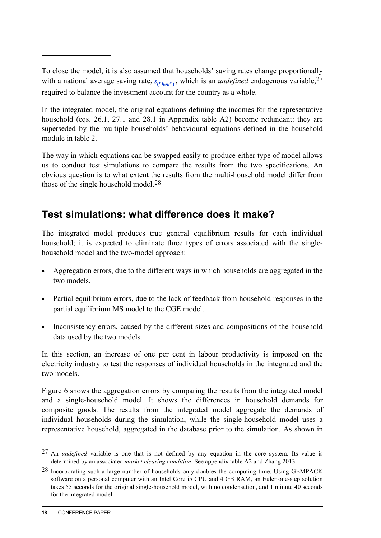To close the model, it is also assumed that households' saving rates change proportionally with a national average saving rate,  $s_{("hou"}$ , which is an *undefined* endogenous variable,  $27$ required to balance the investment account for the country as a whole.

In the integrated model, the original equations defining the incomes for the representative household (eqs. 26.1, 27.1 and 28.1 in Appendix table A2) become redundant: they are superseded by the multiple households' behavioural equations defined in the household module in table 2.

The way in which equations can be swapped easily to produce either type of model allows us to conduct test simulations to compare the results from the two specifications. An obvious question is to what extent the results from the multi-household model differ from those of the single household model.<sup>28</sup>

# **Test simulations: what difference does it make?**

The integrated model produces true general equilibrium results for each individual household; it is expected to eliminate three types of errors associated with the singlehousehold model and the two-model approach:

- Aggregation errors, due to the different ways in which households are aggregated in the two models.
- Partial equilibrium errors, due to the lack of feedback from household responses in the partial equilibrium MS model to the CGE model.
- Inconsistency errors, caused by the different sizes and compositions of the household data used by the two models.

In this section, an increase of one per cent in labour productivity is imposed on the electricity industry to test the responses of individual households in the integrated and the two models.

Figure 6 shows the aggregation errors by comparing the results from the integrated model and a single-household model. It shows the differences in household demands for composite goods. The results from the integrated model aggregate the demands of individual households during the simulation, while the single-household model uses a representative household, aggregated in the database prior to the simulation. As shown in

l

<sup>27</sup> An *undefined* variable is one that is not defined by any equation in the core system. Its value is determined by an associated *market clearing condition*. See appendix table A2 and Zhang 2013.

<sup>28</sup> Incorporating such a large number of households only doubles the computing time. Using GEMPACK software on a personal computer with an Intel Core i5 CPU and 4 GB RAM, an Euler one-step solution takes 55 seconds for the original single-household model, with no condensation, and 1 minute 40 seconds for the integrated model.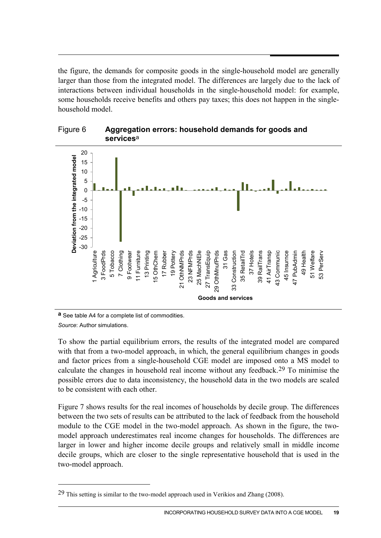the figure, the demands for composite goods in the single-household model are generally larger than those from the integrated model. The differences are largely due to the lack of interactions between individual households in the single-household model: for example, some households receive benefits and others pay taxes; this does not happen in the singlehousehold model.





**a** See table A4 for a complete list of commodities.

*Source*: Author simulations.

-

To show the partial equilibrium errors, the results of the integrated model are compared with that from a two-model approach, in which, the general equilibrium changes in goods and factor prices from a single-household CGE model are imposed onto a MS model to calculate the changes in household real income without any feedback.<sup>29</sup> To minimise the possible errors due to data inconsistency, the household data in the two models are scaled to be consistent with each other.

Figure 7 shows results for the real incomes of households by decile group. The differences between the two sets of results can be attributed to the lack of feedback from the household module to the CGE model in the two-model approach. As shown in the figure, the twomodel approach underestimates real income changes for households. The differences are larger in lower and higher income decile groups and relatively small in middle income decile groups, which are closer to the single representative household that is used in the two-model approach.

 $29$  This setting is similar to the two-model approach used in Verikios and Zhang (2008).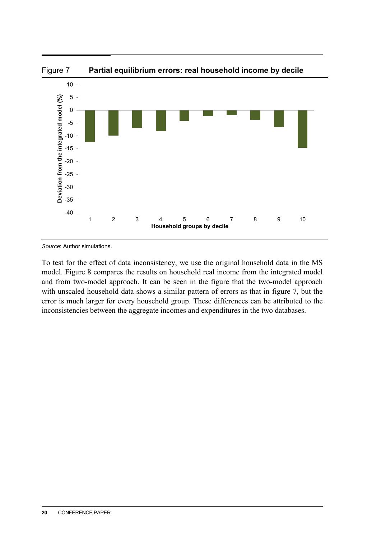

*Source*: Author simulations.

To test for the effect of data inconsistency, we use the original household data in the MS model. Figure 8 compares the results on household real income from the integrated model and from two-model approach. It can be seen in the figure that the two-model approach with unscaled household data shows a similar pattern of errors as that in figure 7, but the error is much larger for every household group. These differences can be attributed to the inconsistencies between the aggregate incomes and expenditures in the two databases.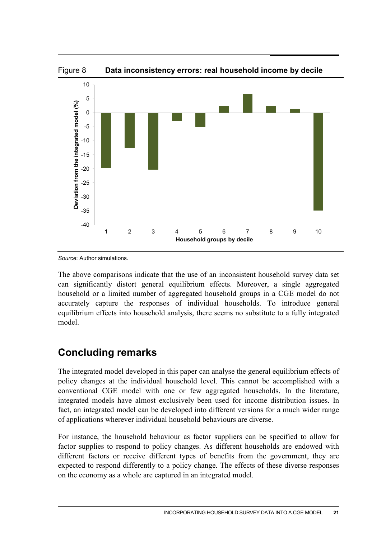

*Source*: Author simulations.

The above comparisons indicate that the use of an inconsistent household survey data set can significantly distort general equilibrium effects. Moreover, a single aggregated household or a limited number of aggregated household groups in a CGE model do not accurately capture the responses of individual households. To introduce general equilibrium effects into household analysis, there seems no substitute to a fully integrated model.

# **Concluding remarks**

The integrated model developed in this paper can analyse the general equilibrium effects of policy changes at the individual household level. This cannot be accomplished with a conventional CGE model with one or few aggregated households. In the literature, integrated models have almost exclusively been used for income distribution issues. In fact, an integrated model can be developed into different versions for a much wider range of applications wherever individual household behaviours are diverse.

For instance, the household behaviour as factor suppliers can be specified to allow for factor supplies to respond to policy changes. As different households are endowed with different factors or receive different types of benefits from the government, they are expected to respond differently to a policy change. The effects of these diverse responses on the economy as a whole are captured in an integrated model.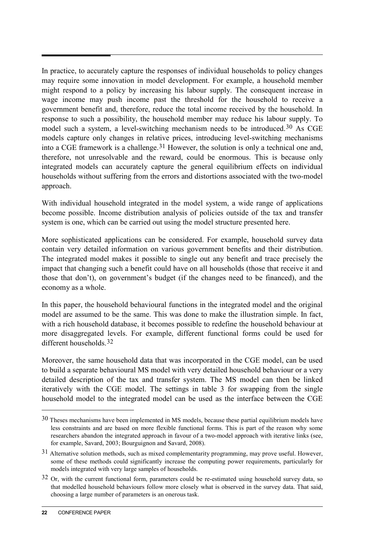In practice, to accurately capture the responses of individual households to policy changes may require some innovation in model development. For example, a household member might respond to a policy by increasing his labour supply. The consequent increase in wage income may push income past the threshold for the household to receive a government benefit and, therefore, reduce the total income received by the household. In response to such a possibility, the household member may reduce his labour supply. To model such a system, a level-switching mechanism needs to be introduced.<sup>[30](#page-21-0)</sup> As CGE models capture only changes in relative prices, introducing level-switching mechanisms into a CGE framework is a challenge.<sup>[31](#page-21-1)</sup> However, the solution is only a technical one and, therefore, not unresolvable and the reward, could be enormous. This is because only integrated models can accurately capture the general equilibrium effects on individual households without suffering from the errors and distortions associated with the two-model approach.

With individual household integrated in the model system, a wide range of applications become possible. Income distribution analysis of policies outside of the tax and transfer system is one, which can be carried out using the model structure presented here.

More sophisticated applications can be considered. For example, household survey data contain very detailed information on various government benefits and their distribution. The integrated model makes it possible to single out any benefit and trace precisely the impact that changing such a benefit could have on all households (those that receive it and those that don't), on government's budget (if the changes need to be financed), and the economy as a whole.

In this paper, the household behavioural functions in the integrated model and the original model are assumed to be the same. This was done to make the illustration simple. In fact, with a rich household database, it becomes possible to redefine the household behaviour at more disaggregated levels. For example, different functional forms could be used for different households [32](#page-21-2)

Moreover, the same household data that was incorporated in the CGE model, can be used to build a separate behavioural MS model with very detailed household behaviour or a very detailed description of the tax and transfer system. The MS model can then be linked iteratively with the CGE model. The settings in table 3 for swapping from the single household model to the integrated model can be used as the interface between the CGE

<span id="page-21-0"></span><sup>30</sup> Theses mechanisms have been implemented in MS models, because these partial equilibrium models have less constraints and are based on more flexible functional forms. This is part of the reason why some researchers abandon the integrated approach in favour of a two-model approach with iterative links (see, for example, Savard, 2003; Bourguignon and Savard, 2008).

<span id="page-21-1"></span><sup>31</sup> Alternative solution methods, such as mixed complementarity programming, may prove useful. However, some of these methods could significantly increase the computing power requirements, particularly for models integrated with very large samples of households.

<span id="page-21-2"></span><sup>&</sup>lt;sup>32</sup> Or, with the current functional form, parameters could be re-estimated using household survey data, so that modelled household behaviours follow more closely what is observed in the survey data. That said, choosing a large number of parameters is an onerous task.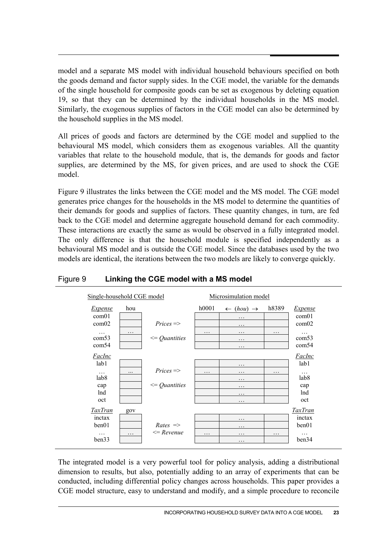model and a separate MS model with individual household behaviours specified on both the goods demand and factor supply sides. In the CGE model, the variable for the demands of the single household for composite goods can be set as exogenous by deleting equation 19, so that they can be determined by the individual households in the MS model. Similarly, the exogenous supplies of factors in the CGE model can also be determined by the household supplies in the MS model.

All prices of goods and factors are determined by the CGE model and supplied to the behavioural MS model, which considers them as exogenous variables. All the quantity variables that relate to the household module, that is, the demands for goods and factor supplies, are determined by the MS, for given prices, and are used to shock the CGE model.

Figure 9 illustrates the links between the CGE model and the MS model. The CGE model generates price changes for the households in the MS model to determine the quantities of their demands for goods and supplies of factors. These quantity changes, in turn, are fed back to the CGE model and determine aggregate household demand for each commodity. These interactions are exactly the same as would be observed in a fully integrated model. The only difference is that the household module is specified independently as a behavioural MS model and is outside the CGE model. Since the databases used by the two models are identical, the iterations between the two models are likely to converge quickly.



### Figure 9 **Linking the CGE model with a MS model**

The integrated model is a very powerful tool for policy analysis, adding a distributional dimension to results, but also, potentially adding to an array of experiments that can be conducted, including differential policy changes across households. This paper provides a CGE model structure, easy to understand and modify, and a simple procedure to reconcile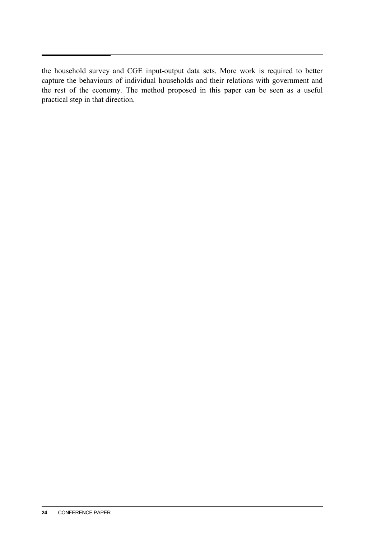the household survey and CGE input-output data sets. More work is required to better capture the behaviours of individual households and their relations with government and the rest of the economy. The method proposed in this paper can be seen as a useful practical step in that direction.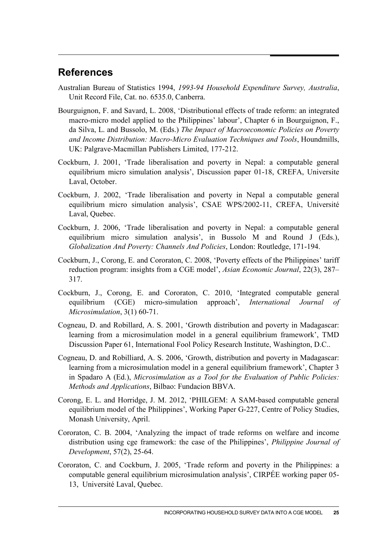## **References**

- Australian Bureau of Statistics 1994, *1993-94 Household Expenditure Survey, Australia*, Unit Record File, Cat. no. 6535.0, Canberra.
- Bourguignon, F. and Savard, L. 2008, 'Distributional effects of trade reform: an integrated macro-micro model applied to the Philippines' labour', Chapter 6 in Bourguignon, F., da Silva, L. and Bussolo, M. (Eds.) *The Impact of Macroeconomic Policies on Poverty and Income Distribution: Macro-Micro Evaluation Techniques and Tools*, Houndmills, UK: Palgrave-Macmillan Publishers Limited, 177-212.
- Cockburn, J. 2001, 'Trade liberalisation and poverty in Nepal: a computable general equilibrium micro simulation analysis', Discussion paper 01-18, CREFA, Universite Laval, October.
- Cockburn, J. 2002, 'Trade liberalisation and poverty in Nepal a computable general equilibrium micro simulation analysis', CSAE WPS/2002-11, CREFA, Université Laval, Quebec.
- Cockburn, J. 2006, 'Trade liberalisation and poverty in Nepal: a computable general equilibrium micro simulation analysis', in Bussolo M and Round J (Eds.), *Globalization And Poverty: Channels And Policies*, London: Routledge, 171-194.
- Cockburn, J., Corong, E. and Cororaton, C. 2008, 'Poverty effects of the Philippines' tariff reduction program: insights from a CGE model', *Asian Economic Journal*, 22(3), 287– 317.
- Cockburn, J., Corong, E. and Cororaton, C. 2010, 'Integrated computable general equilibrium (CGE) micro-simulation approach', *International Journal of Microsimulation*, 3(1) 60-71.
- Cogneau, D. and Robillard, A. S. 2001, 'Growth distribution and poverty in Madagascar: learning from a microsimulation model in a general equilibrium framework', TMD Discussion Paper 61, International Fool Policy Research Institute, Washington, D.C..
- Cogneau, D. and Robilliard, A. S. 2006, 'Growth, distribution and poverty in Madagascar: learning from a microsimulation model in a general equilibrium framework', Chapter 3 in Spadaro A (Ed.), *Microsimulation as a Tool for the Evaluation of Public Policies: Methods and Applications*, Bilbao: Fundacion BBVA.
- Corong, E. L. and Horridge, J. M. 2012, 'PHILGEM: A SAM-based computable general equilibrium model of the Philippines', Working Paper G-227, Centre of Policy Studies, Monash University, April.
- Cororaton, C. B. 2004, 'Analyzing the impact of trade reforms on welfare and income distribution using cge framework: the case of the Philippines', *Philippine Journal of Development*, 57(2), 25-64.
- Cororaton, C. and Cockburn, J. 2005, 'Trade reform and poverty in the Philippines: a computable general equilibrium microsimulation analysis', CIRPÉE working paper 05- 13, Université Laval, Quebec.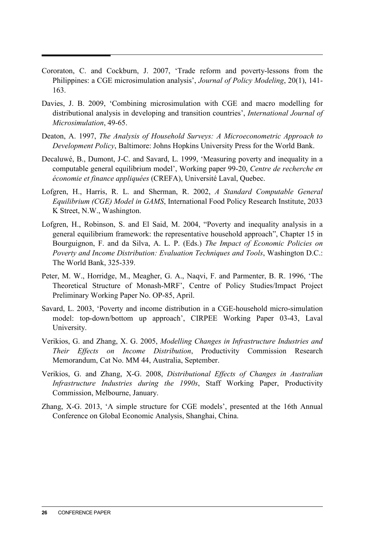- Cororaton, C. and Cockburn, J. 2007, 'Trade reform and poverty-lessons from the Philippines: a CGE microsimulation analysis', *Journal of Policy Modeling*, 20(1), 141- 163.
- Davies, J. B. 2009, 'Combining microsimulation with CGE and macro modelling for distributional analysis in developing and transition countries', *International Journal of Microsimulation*, 49-65.
- Deaton, A. 1997, *The Analysis of Household Surveys: A Microeconometric Approach to Development Policy*, Baltimore: Johns Hopkins University Press for the World Bank.
- Decaluwé, B., Dumont, J-C. and Savard, L. 1999, 'Measuring poverty and inequality in a computable general equilibrium model', Working paper 99-20, *Centre de recherche en économie et finance appliquées* (CREFA), Université Laval, Quebec.
- Lofgren, H., Harris, R. L. and Sherman, R. 2002, *A Standard Computable General Equilibrium (CGE) Model in GAMS*, International Food Policy Research Institute, 2033 K Street, N.W., Washington.
- Lofgren, H., Robinson, S. and El Said, M. 2004, "Poverty and inequality analysis in a general equilibrium framework: the representative household approach", Chapter 15 in Bourguignon, F. and da Silva, A. L. P. (Eds.) *The Impact of Economic Policies on Poverty and Income Distribution: Evaluation Techniques and Tools*, Washington D.C.: The World Bank, 325-339.
- Peter, M. W., Horridge, M., Meagher, G. A., Naqvi, F. and Parmenter, B. R. 1996, 'The Theoretical Structure of Monash-MRF', Centre of Policy Studies/Impact Project Preliminary Working Paper No. OP-85, April.
- Savard, L. 2003, 'Poverty and income distribution in a CGE-household micro-simulation model: top-down/bottom up approach', CIRPEE Working Paper 03-43, Laval University.
- Verikios, G. and Zhang, X. G. 2005, *Modelling Changes in Infrastructure Industries and Their Effects on Income Distribution*, Productivity Commission Research Memorandum, Cat No. MM 44, Australia, September.
- Verikios, G. and Zhang, X-G. 2008, *Distributional Effects of Changes in Australian Infrastructure Industries during the 1990s*, Staff Working Paper, Productivity Commission, Melbourne, January.
- Zhang, X-G. 2013, 'A simple structure for CGE models', presented at the 16th Annual Conference on Global Economic Analysis, Shanghai, China.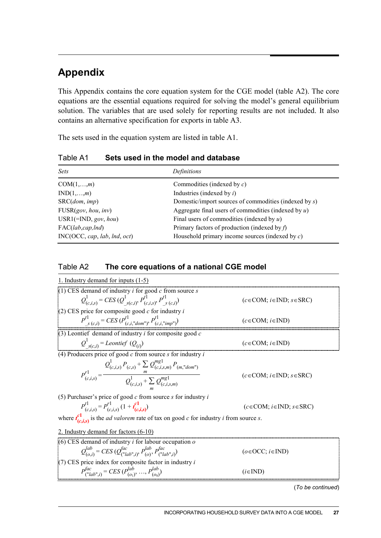# **Appendix**

This Appendix contains the core equation system for the CGE model (table A2). The core equations are the essential equations required for solving the model's general equilibrium solution. The variables that are used solely for reporting results are not included. It also contains an alternative specification for exports in table A3.

The sets used in the equation system are listed in table A1.

| <b>Sets</b>                  | Definitions                                              |
|------------------------------|----------------------------------------------------------|
| $COM(1, \ldots, m)$          | Commodities (indexed by $c$ )                            |
| $IND(1,\ldots,m)$            | Industries (indexed by $i$ )                             |
| SRC(dom, imp)                | Domestic/import sources of commodities (indexed by $s$ ) |
| FUSR(gov, hou, inv)          | Aggregate final users of commodities (indexed by $u$ )   |
| $USR1(=IND, gov, hou)$       | Final users of commodities (indexed by $u$ )             |
| $\text{FAC}(lab, cap, Ind)$  | Primary factors of production (indexed by $f$ )          |
| INC(OCC, cap, lab, Ind, oct) | Household primary income sources (indexed by $c$ )       |

Table A1 **Sets used in the model and database**

### Table A2 **The core equations of a national CGE model**

| 1. Industry demand for inputs (1-5)                                                                                                           |                                     |
|-----------------------------------------------------------------------------------------------------------------------------------------------|-------------------------------------|
| (1) CES demand of industry $i$ for good $c$ from source $s$                                                                                   |                                     |
| $Q_{(c,i,s)}^1 = CES(Q_{s(c,i)}^1, P_{(c,i,s)}^{11}, P_{s(c,i)}^{11})$                                                                        | $(c \in COM; i \in IND; s \in SRC)$ |
| $(2)$ CES price for composite good $c$ for industry i                                                                                         |                                     |
| $P^{t}$ <sub>s (c,i</sub> ) = CES ( $P^{t}$ <sub>(c,i,"dom")</sub> , $P^{t}$ <sub>(c,i,"imp")</sub> )                                         | $(c \in COM; i \in IND)$            |
| (3) Leontief demand of industry $i$ for composite good $c$                                                                                    |                                     |
| $Q^1_{s(c,i)}$ = Leontief $(Q_{(i)})$                                                                                                         | $(c \in COM; i \in IND)$            |
| (4) Producers price of good $c$ from source $s$ for industry $i$                                                                              |                                     |
| $P_{(c,i,s)}^{r1} = \frac{Q_{(c,i,s)}^1 P_{(c,s)} + \sum_{m} Q_{(c,i,s,m)}^{mgl} P_{(m,''dom'')} }{Q_{(c,i,s)}^1 + \sum Q_{(c.i,s,m)}^{mgl}}$ | $(c \in COM; i \in IND; s \in SRC)$ |
| (5) Purchaser's price of good $c$ from source $s$ for industry $i$                                                                            |                                     |
| $P_{(c,i,s)}^{t1} = P_{(c,i,s)}^{r1} (1 + t_{(c,i,s)}^{c1})$                                                                                  | $(c \in COM; i \in IND; s \in SRC)$ |
| where $t_{(c,i,s)}^{c1}$ is the <i>ad valorem</i> rate of tax on good <i>c</i> for industry <i>i</i> from source <i>s</i> .                   |                                     |
| 2. Industry demand for factors (6-10)                                                                                                         |                                     |
| $(6)$ CES demand of industry <i>i</i> for labour occupation $o$                                                                               |                                     |
| $Q_{(o,i)}^{lab} = CES(Q_{(^nlab^n i)}^{fac}, P_{(o)}^{lab}, P_{(^nlab^n i)}^{fac})$                                                          | $(o \in OCC; i \in IND)$            |
| $(7)$ CES price index for composite factor in industry i                                                                                      |                                     |
| $P_{(^\text{v}\!Ia b\!{v}\!I)}^{fac} = CES(P_{(o_1)}^{lab}, , P_{(o_s)}^{lab})$                                                               | $(i \in IND)$                       |

(*To be continued*)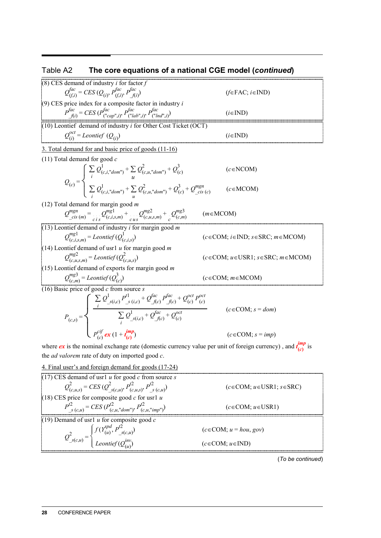# Table A2 **The core equations of a national CGE model (***continued***)**

| (8) CES demand of industry $i$ for factor $f$                                                                                                                                                                                                                                                            |                                                  |
|----------------------------------------------------------------------------------------------------------------------------------------------------------------------------------------------------------------------------------------------------------------------------------------------------------|--------------------------------------------------|
| $Q_{(f,i)}^{fac} = CES(Q_{(i)}, P_{(f,i)}^{fac}, P_{(fi)}^{fac})$                                                                                                                                                                                                                                        | $(f \in \text{FAC}; i \in \text{IND})$           |
| $(9)$ CES price index for a composite factor in industry i                                                                                                                                                                                                                                               |                                                  |
| $P_{f(i)}^{fac} = CES (P_{("cap", i)}^{fac}, P_{("lab", i)}^{fac}, P_{("Ind", i)}^{fac})$                                                                                                                                                                                                                | $(i \in IND)$                                    |
| $(10)$ Leontief demand of industry <i>i</i> for Other Cost Ticket (OCT)                                                                                                                                                                                                                                  |                                                  |
| $Q_{(i)}^{ocl}$ = Leontief $(Q_{(i)})$                                                                                                                                                                                                                                                                   | $(i \in IND)$                                    |
| 3. Total demand for and basic price of goods (11-16)                                                                                                                                                                                                                                                     |                                                  |
| $(11)$ Total demand for good c                                                                                                                                                                                                                                                                           |                                                  |
| $Q_{(c)} = \left\{ \begin{array}{l} \sum_i Q^1_{(c,i, "dom")} + \sum_i Q^2_{(c,u, "dom")} + Q^2_{(c)} \\ \sum Q^1_{(c,i, "dom")} + \sum Q^2_{(c,u, "dom")} + Q^3_{(c)} + Q^{mgn}_{\_cis}(c) \end{array} \right.$                                                                                         | $(c \in NCOM)$                                   |
|                                                                                                                                                                                                                                                                                                          | $(c \in MCOM)$                                   |
| (12) Total demand for margin good $m$                                                                                                                                                                                                                                                                    |                                                  |
| $Q^{mgn}_{cis (m)} = Q^{mgl}_{(c,i,s,m)} + Q^{mgl}_{(c,u,s,m)} + Q^{mgl}_{(c,m)}$                                                                                                                                                                                                                        | $(m \in MCOM)$                                   |
| (13) Leontief demand of industry $i$ for margin good $m$                                                                                                                                                                                                                                                 |                                                  |
| $Q_{(c,i,s,m)}^{mg1}$ = Leontief $(Q_{(c,i,s)}^1)$                                                                                                                                                                                                                                                       | $(c \in COM; i \in IND; s \in SRC; m \in MCOM)$  |
| (14) Leontief demand of usrl $u$ for margin good $m$                                                                                                                                                                                                                                                     |                                                  |
| $Q_{(c, u, s)}^{mg2}$ = Leontief $(Q_{(c, u, s)}^2)$                                                                                                                                                                                                                                                     | $(c \in COM; u \in USA1; s \in SRC; m \in MCOM)$ |
| $(15)$ Leontief demand of exports for margin good m                                                                                                                                                                                                                                                      |                                                  |
| $Q_{(c,m)}^{mg3}$ = Leontief $(Q_{(c)}^3)$                                                                                                                                                                                                                                                               | $(c \in COM; m \in MCOM)$                        |
| (16) Basic price of good $c$ from source $s$                                                                                                                                                                                                                                                             |                                                  |
|                                                                                                                                                                                                                                                                                                          |                                                  |
| $P_{(c,s)} = \left\{ \begin{array}{l} \sum\limits_i Q^1_{-s(i,c)} P'^1_{-s(i,c)} + Q^{fac}_{-f(c)} P'^{ac}_{-f(c)} + Q^{oct}_{(c)} P^{oct}_{(c)} \\ \sum\limits_i Q^1_{-s(i,c)} + Q^{fac}_{-f(c)} + Q^{oct}_{(c)} \\ P^{cif}_{(c)} \textbf{ex} \left(1 + \frac{imp}{t_{(c)}}\right) \end{array} \right.$ | $(c \in COM; s = dom)$                           |
|                                                                                                                                                                                                                                                                                                          | $(c \in COM; s = imp)$                           |

where *ex* is the nominal exchange rate (domestic currency value per unit of foreign currency), and  $t_{(c)}^{imp}$  $\frac{mp}{(c)}$  is the *ad valorem* rate of duty on imported good *c*.

*<sup>U</sup>*4. Final user's and foreign demand for goods (17-24)

(17) CES demand of usr1 *u* for good *c* from source *s*  
\n
$$
Q_{(c,u,s)}^2 = CES (Q_{s(c,u)}^2, P_{(c,u,s)}^2, P_{s(c,u)}^2)
$$
\n(18) CES price for composite good *c* for usr1 *u*  
\n
$$
P_{s(c,u)}^2 = CES (P_{(c,u, "dom^n)}^2, P_{(c,u, "imp^n)}^2)
$$
\n(19) Demand of usr1 *u* for composite good *c*  
\n(19) Demand of usr1 *u* for composite good *c*  
\n
$$
Q_{s(c,u)}^2 = \begin{cases} f(Y_{(u)}^{spd}, P_{s(c,u)}^2) & (c \in COM; u \in USA) \\ L\text{contie}(Q_{(u)}^{imp}) & (c \in COM; u = hou, gov) \end{cases}
$$
\n(2)

(*To be continued*)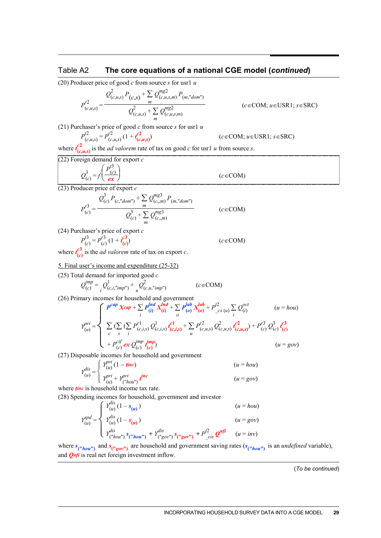#### Table A2 **The core***<sup>E</sup>* **equations of a national CGE model (***continued***)**

(20) Producer price of good *c* from source *s* for usr1 *u*

$$
P_{(c,u,s)}^{2} = \frac{Q_{(c,u,s)}^{2} P_{(c,s)} + \sum_{m} Q_{(c,u,s,m)}^{mg2} P_{(m, "dom")}}{Q_{(c,u,s)}^{2} + \sum_{m} Q_{(c,u,s,m)}^{mg2}}
$$

 $(c \in COM; u \in USR1; s \in SRC)$ 

 $(c \in \text{COM})$ 

(21) Purchaser's price of good *c* from source *s* for usr1 *u*

$$
P_{(c,u,s)}^{l^2} = P_{(c,u,s)}^{l^2} (1 + t_{(c,u,s)}^{l^2})
$$
 (*c* \in COM; *u* \in USA1; *s* \in SRC)

where  $t_c^2$  $\frac{d^2}{dx^2}$  is the *ad valorem* rate of tax on good *c* for usr1 *u* from source *s*.

(22) Foreign demand for export *c*

$$
Q_{(c)}^3 = f\left(\frac{P_{(c)}^{\prime 3}}{ex}\right)
$$

 $(23)$  Producer price of export  $c$ 

$$
P_{(c)}^{r3} = \frac{Q_{(c)}^3 P_{(c, \text{"dom"})} + \sum_{m} Q_{(c, m)}^{m g 3} P_{(m, \text{"dom"})} }{Q_{(c)}^3 + \sum_{m} Q_{(c, m)}^{m g 3}} \qquad (c \in \text{COM})
$$

(24) Purchaser's price of export *c*

$$
P_{(c)}^{t3} = P_{(c)}^{t3} \left(1 + t_{(c)}^{t3}\right)
$$
 (c \in COM)

where  $t_c^3$  $\frac{dS}{dt}$  is the *ad valorem* rate of tax on export *c*.

5. Final user's income and expenditure (25-32)

(25) Total demand for imported good *c*

$$
Q_{(c)}^{imp} = \frac{1}{i} Q_{(c,i,"imp'')}^1 + \frac{1}{i} Q_{(c,u,"imp'')}^2
$$
 (c \in COM)

(26) Primary incomes for household and government

$$
Y_{(u)}^{pri} = \begin{cases} P^{cap} Xcap + \sum_{i} P_{(i)}^{Ind} X_{(i)}^{Ind} + \sum_{o} P_{(o)}^{lab} X_{(o)}^{lab} + P_{cS (u)}^{2} \sum_{i} Q_{(i)}^{oct} & (u = hou) \\ \sum_{c} (\sum_{s} \sum_{i} P_{(c,i,s)}^{r1} Q_{(c,i,s)}^{1} t_{(c,i,s)}^{c1} + \sum_{u} P_{(c,u,s)}^{r2} Q_{(c,u,s)}^{2} t_{(c,u,s)}^{c2}) + P_{(c)}^{r3} Q_{(c)}^{3} t_{(c)}^{c3} \\ + P_{(c)}^{cij} ex Q_{(c)}^{imp} t_{(c)}^{imp} & (u = gov) \end{cases}
$$

(27) Disposable incomes for household and government

$$
Y_{(u)}^{dis} = \begin{cases} Y_{(u)}^{pri} (1 - \textbf{t}^{\textbf{inc}}) & (u = hou) \\ Y_{(u)}^{pri} + Y_{(^\textbf{v}^{\textbf{loc}}}^{pri}) & (u = gov) \end{cases}
$$

where *tinc* is household income tax rate.

(28) Spending incomes for household, government and investor

$$
Y_{(u)}^{spd} = \begin{cases} Y_{(u)}^{dis} (1 - s_{(u)}) & (u = hou) \\ Y_{(u)}^{dis} (1 - s_{(u)}) & (u = gov) \\ Y_{(u)}^{dis} & Y_{(u)}^{dis} (1 - s_{(u)}) + Y_{(u)}^{dis} (1 - s_{(u)}) \\ Y_{(u)}^{dis} (1 - s_{(u)}) & (u = gov) \end{cases}
$$

where  $s_{\binom{n}{k}ou''}$  and  $s_{\binom{n}{k}ou''}$  are household and government saving rates  $(s_{\binom{n}{k}ou''})$  is an *undefined* variable), and *Qnfi* is real net foreign investment inflow.

(*To be continued*)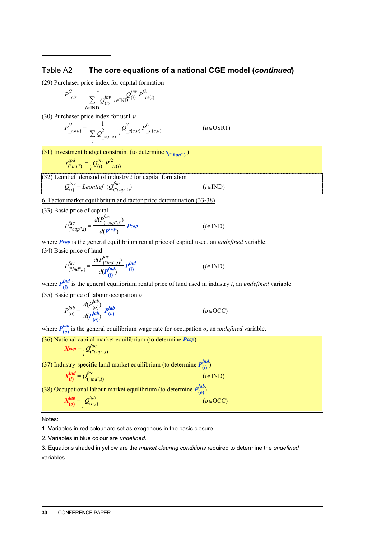#### Table A2 **The core equations of a national CGE model (***continued***)**

(29) Purchaser price index for capital formation

$$
P_{\text{--}cis}^{2} = \frac{1}{\sum_{i \in \text{IND}} Q_{(i)}^{\text{inv}}} \sum_{i \in \text{IND}} Q_{(i)}^{\text{inv}} P_{\text{--}cs(i)}^{2}
$$

(30) Purchaser price index for usr1 *u*

$$
P_{cs(u)}^2 = \frac{1}{\sum_{c} Q_{s(c,u)}^2} \sum_{i} Q_{s(c,u)}^2 P_{s(c,u)}^2
$$
 (*u* \in USR1)

 $(31)$  Investment budget constraint (to determine  $s_{("hou")}$ )

$$
Y_{("inv")}^{spd} = \sum_{i} Q_{(i)}^{inv} P_{\_cs(i)}^{f2}
$$

(32) Leontief demand of industry *i* for capital formation

$$
Q_{(i)}^{inv} = Leontief (Q_{(\text{``cap''}i)}^{fac})
$$

*<sup>U</sup>*6. Factor market equilibrium and factor price determination (33-38)

(33) Basic price of capital

$$
P_{\left(\text{"cap",i}\right)}^{fac} = \frac{d(P_{\left(\text{"cap",i}\right)}^{fac})}{d(P^{cap})} P_{cap} \qquad (i \in \text{IND})
$$

where *Pcap* is the general equilibrium rental price of capital used, an *undefined* variable. (34) Basic price of land

$$
P_{\left(\text{"lnd",i}\right)}^{fac} = \frac{d(P_{\left(\text{"lnd",i}\right)}^{fac})}{d(P_{\left(i\right)}^{Ind})} P_{\left(i\right)}^{Ind} \qquad (i \in \text{IND})
$$

where  $P_{(i)}^{Ind}$  $\frac{du}{dt}$  is the general equilibrium rental price of land used in industry *i*, an *undefined* variable.

 $(i \in \text{IND})$ 

 $(o ∈ OCC)$ 

(35) Basic price of labour occupation *o*

$$
P_{(o)}^{lab} = \frac{d(P_{(o)}^{lab})}{d(P_{(o)}^{lab})} P_{(o)}^{lab}
$$
 (o \in OCC)

where  $P_{(a)}^{lab}$  $\frac{du}{v}$  is the general equilibrium wage rate for occupation *o*, an *undefined* variable.

(36) National capital market equilibrium (to determine *Pcap*)

$$
Xcap = \bigcirc_i Q_{("cap",i)}^{fac}
$$

(37) Industry-specific land market equilibrium (to determine  $P_{(i)}^{Ind}$  $\binom{n}{i}$ 

$$
X_{(i)}^{Ind} = Q_{\left( \begin{smallmatrix} u & u \\ v & v \end{smallmatrix} \right)}^{fac} \qquad (i \in \text{IND})
$$

(38) Occupational labour market equilibrium (to determine  $P_{(0)}^{lab}$  $\binom{10}{2}$ 

$$
\frac{lab}{(o)} = \bigcup_{i} \frac{Q_{(o,i)}^{lab}}{Q_{(o,i)}}
$$

*XA*

Notes:

1. Variables in red colour are set as exogenous in the basic closure.

2. Variables in blue colour are *undefined*.

3. Equations shaded in yellow are the *market clearing conditions* required to determine the *undefined* variables.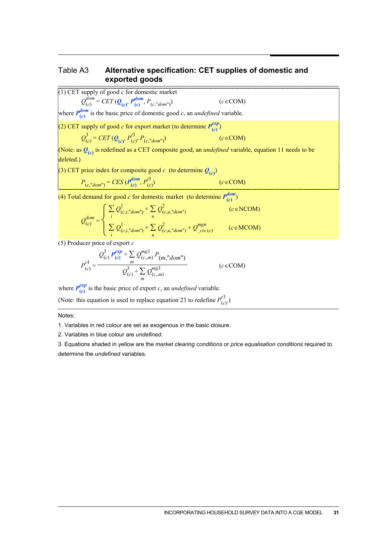#### Table A3 **Alternative specification: CET supplies of domestic and exported goods**

 $(c \in \text{COM})$ 

(1) CET supply of good *c* for domestic market

$$
Q_{(c)}^{dom} = CET(Q_{(c)}, P_{(c)}^{dom}, P_{(c, \text{"dom"})})
$$

where  $P_{(c)}^{dom}$  $\frac{A^{i\omega m}}{(c)}$  is the basic price of domestic good *c*, an *undefined* variable.

(2) CET supply of good *c* for export market (to determine  $P_{(c)}^{exp}$  $\binom{exp}{c}$ 

$$
Q_{(c)}^3 = CET(Q_{(c)}, P_{(c)}^1, P_{(c, \text{"dom"})})
$$
 (c \in COM)

(Note: as  $Q_{(c)}$  is redefined as a CET composite good, an *undefined* variable, equation 11 needs to be deleted.)

(3) CET price index for composite good *c* (to determine  $Q_{(c)}$ )

$$
P_{(c, "dom")} = CES(P_{(c)}^{dom}, P_{(c)}^{i3})
$$
 (c \in COM)

(4) Total demand for good *c* for domestic market (to determine  $P_{(c)}^{dom}$  $\binom{n \times n}{n}$ 

$$
Q_{(c)}^{dom} = \begin{cases} \sum_{i} Q_{(c,i, "dom")}^{1} + \sum_{u} Q_{(c,u, "dom")}^{2} & (c \in \text{NCOM}) \\ \sum_{i} Q_{(c,i, "dom")}^{1} + \sum_{u} Q_{(c,u, "dom")}^{2} + Q_{\text{cis}(c)}^{mgn} & (c \in \text{MCOM}) \end{cases}
$$

(5) Producer price of export *c*

$$
P_{(c)}^{r3} = \frac{Q_{(c)}^3 P_{(c)}^{exp} + \sum_{m} Q_{(c,m)}^{mg3} P_{(m, \text{"dom"}\choose m}}{Q_{(c)}^3 + \sum_{m} Q_{(c,m)}^{mg3}}
$$
 (c \in COM)

where  $P_{(c)}^{exp}$  $\frac{dx p}{(c)}$  is the basic price of export *c*, an *undefined* variable.

(Note: this equation is used to replace equation 23 to redefine  $P_C^{3}$  $\binom{3}{c}$ 

Notes:

1. Variables in red colour are set as exogenous in the basic closure.

2. Variables in blue colour are *undefined*.

3. Equations shaded in yellow are the *market clearing conditions* or *price equalisation conditions* required to determine the *undefined* variables.